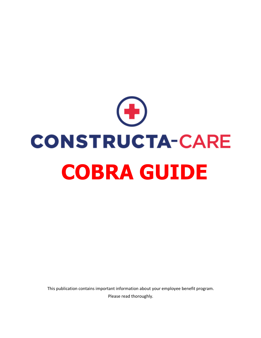

This publication contains important information about your employee benefit program. Please read thoroughly.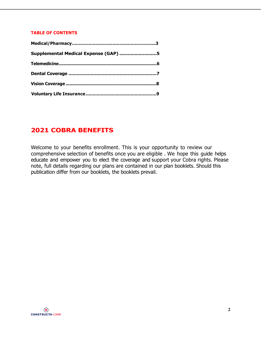### **TABLE OF CONTENTS**

| Supplemental Medical Expense (GAP) 5 |  |
|--------------------------------------|--|
|                                      |  |
|                                      |  |
|                                      |  |
|                                      |  |

# **2021 COBRA BENEFITS**

Welcome to your benefits enrollment. This is your opportunity to review our comprehensive selection of benefits once you are eligible . We hope this guide helps educate and empower you to elect the coverage and support your Cobra rights. Please note, full details regarding our plans are contained in our plan booklets. Should this publication differ from our booklets, the booklets prevail.

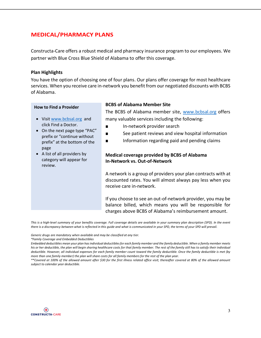## **MEDICAL/PHARMACY PLANS**

Constructa-Care offers a robust medical and pharmacy insurance program to our employees. We partner with Blue Cross Blue Shield of Alabama to offer this coverage.

### **Plan Highlights**

You have the option of choosing one of four plans. Our plans offer coverage for most healthcare services. When you receive care in-network you benefit from our negotiated discounts with BCBS of Alabama.

#### **How to Find a Provider**

- Visit www.bcbsal.org and click Find a Doctor.
- On the next page type "PAC" prefix or "continue without prefix" at the bottom of the page
- A list of all providers by category will appear for review.

### **BCBS of Alabama Member Site**

The BCBS of Alabama member site, www.bcbsal.org offers many valuable services including the following:

- In-network provider search
- See patient reviews and view hospital information
- Information regarding paid and pending claims

## **Medical coverage provided by BCBS of Alabama In-Network vs. Out-of-Network**

A network is a group of providers your plan contracts with at discounted rates. You will almost always pay less when you receive care in-network.

If you choose to see an out-of-network provider, you may be balance billed, which means you will be responsible for charges above BCBS of Alabama's reimbursement amount.

*This is a high-level summary of your benefits coverage. Full coverage details are available in your summary plan description (SPD). In the event there is a discrepancy between what is reflected in this guide and what is communicated in your SPD, the terms of your SPD will prevail.*

*Generic drugs are mandatory when available and may be classified at any tier.*

*\*Family Coverage and Embedded Deductibles*

*Embedded deductibles mean your plan has individual deductibles for each family member and the family deductible. When a family member meets his or her deductible, the plan will begin sharing healthcare costs for that family member. The rest of the family still has to satisfy their individual deductible. However, all individual expenses for each family member count toward the family deductible. Once the family deductible is met (by more than one family member) the plan will share costs for all family members for the rest of the plan year.* 

*<sup>\*\*</sup>Covered at 100% of the allowed amount after \$30 for the first illness related office visit; thereafter covered at 80% of the allowed amount subject to calendar year deductible.*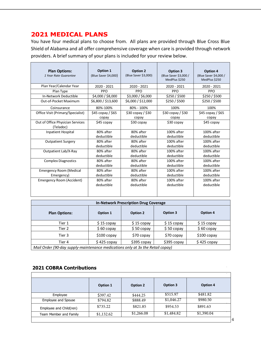# **2021 MEDICAL PLANS**

You have four medical plans to choose from. All plans are provided through Blue Cross Blue Shield of Alabama and all offer comprehensive coverage when care is provided through network providers. A brief summary of your plans is included for your review below.

| <b>Plan Options:</b><br>1 Year Rate Guarantee | Option 1<br>(Blue Saver \$4,000) | Option 2<br>(Blue Saver \$3,000) | Option 3<br>(Blue Saver \$3,000 /<br>MedPlus \$250 | Option 4<br>(Blue Saver \$4,000 /<br>MedPlus \$250 |
|-----------------------------------------------|----------------------------------|----------------------------------|----------------------------------------------------|----------------------------------------------------|
| Plan Year/Calendar Year                       | 2020 - 2021                      | 2020 - 2021                      | 2020 - 2021                                        | 2020 - 2021                                        |
| Plan Type                                     | <b>PPO</b>                       | <b>PPO</b>                       | <b>PPO</b>                                         | <b>PPO</b>                                         |
| In-Network Deductible                         | \$4,000 / \$8,000                | \$3,000 / \$6,000                | \$250/\$500                                        | \$250 / \$500                                      |
| Out-of-Pocket Maximum                         | \$6,800 / \$13,600               | \$6,000 / \$12,000               | \$250 / \$500                                      | \$250/\$5500                                       |
| Coinsurance                                   | 80%-100%                         | 80% - 100%                       | 100%                                               | 100%                                               |
| Office Visit (Primary/Specialist)             | \$45 copay / \$65                | $$30$ copay / $$30$              | $$30$ copay / $$30$                                | $$45$ copay / $$65$                                |
|                                               | copay                            | copay                            | copay                                              | copay                                              |
| Out of Office Physician Services<br>(Teladoc) | \$45 copay                       | \$30 copay                       | \$30 copay                                         | \$45 copay                                         |
| Inpatient Hospital                            | 80% after                        | 80% after                        | 100% after                                         | $100\%$ after                                      |
|                                               | deductible                       | deductible                       | deductible                                         | deductible                                         |
| <b>Outpatient Surgery</b>                     | 80% after                        | 80% after                        | 100% after                                         | 100% after                                         |
|                                               | deductible                       | deductible                       | deductible                                         | deductible                                         |
| Outpatient Lab/X-Ray                          | 80% after                        | 80% after                        | 100% after                                         | 100% after                                         |
|                                               | deductible                       | deductible                       | deductible                                         | deductible                                         |
| <b>Complex Diagnostics</b>                    | 80% after                        | 80% after                        | 100% after                                         | 100% after                                         |
|                                               | deductible                       | deductible                       | deductible                                         | deductible                                         |
| <b>Emergency Room (Medical</b>                | 80% after                        | 80% after                        | 100% after                                         | 100% after                                         |
| Emergency)                                    | deductible                       | deductible                       | deductible                                         | deductible                                         |
| Emergency Room (Accident)                     | 80% after                        | 80% after                        | 100% after                                         | 100% after                                         |
|                                               | deductible                       | deductible                       | deductible                                         | deductible                                         |

| <b>In-Network Prescription Drug Coverage</b>                                   |              |             |             |              |
|--------------------------------------------------------------------------------|--------------|-------------|-------------|--------------|
| <b>Plan Options:</b>                                                           | Option 1     | Option 2    | Option 3    | Option 4     |
| Tier 1                                                                         | $$15$ copay  | $$15$ copay | $$15$ copay | $$15$ copay  |
| Tier 2                                                                         | $$60$ copay  | $$50$ copay | $$50$ copay | $$60$ copay  |
| Tier 3                                                                         | $$100$ copay | \$70 copay  | \$70 copay  | $$100$ copay |
| Tier 4                                                                         | $$425$ copay | \$395 copay | \$395 copay | $$425$ copay |
| Mail Order (90-day supply-maintenance medications only at 3x the Retail copay) |              |             |             |              |

## **2021 COBRA Contributions <b>CLASSIC CODER CODER**

|                         | Option 1   | Option 2   | Option 3   | Option 4   |
|-------------------------|------------|------------|------------|------------|
| Employee                | \$397.42   | \$444.25   | \$515.97   | \$481.82   |
| Employee and Spouse     | \$794.82   | \$888.49   | \$1,046.27 | \$980.50   |
| Employee and Child(ren) | \$735.22   | \$821.85   | \$954.53   | \$891.63   |
| Team Member and Family  | \$1,132.62 | \$1,266.08 | \$1,484.82 | \$1,390.04 |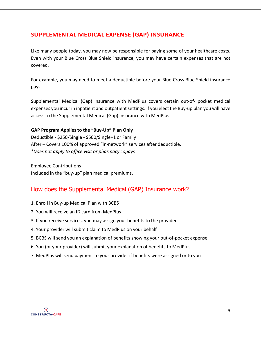## **SUPPLEMENTAL MEDICAL EXPENSE (GAP) INSURANCE**

Like many people today, you may now be responsible for paying some of your healthcare costs. Even with your Blue Cross Blue Shield insurance, you may have certain expenses that are not covered.

For example, you may need to meet a deductible before your Blue Cross Blue Shield insurance pays.

Supplemental Medical (Gap) insurance with MedPlus covers certain out-of- pocket medical expenses you incur in inpatient and outpatient settings. If you elect the Buy-up plan you will have access to the Supplemental Medical (Gap) insurance with MedPlus.

## **GAP Program Applies to the "Buy-Up" Plan Only**

Deductible - \$250/Single - \$500/Single+1 or Family After – Covers 100% of approved "in-network" services after deductible. *\*Does not apply to office visit or pharmacy copays*

Employee Contributions Included in the "buy-up" plan medical premiums.

# How does the Supplemental Medical (GAP) Insurance work?

- 1. Enroll in Buy-up Medical Plan with BCBS
- 2. You will receive an ID card from MedPlus
- 3. If you receive services, you may assign your benefits to the provider
- 4. Your provider will submit claim to MedPlus on your behalf
- 5. BCBS will send you an explanation of benefits showing your out-of-pocket expense
- 6. You (or your provider) will submit your explanation of benefits to MedPlus
- 7. MedPlus will send payment to your provider if benefits were assigned or to you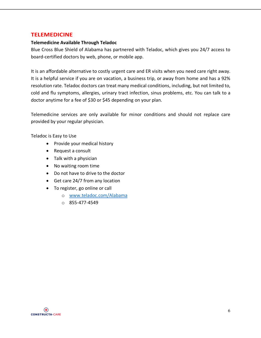## **TELEMEDICINE**

#### **Telemedicine Available Through Teladoc**

Blue Cross Blue Shield of Alabama has partnered with Teladoc, which gives you 24/7 access to board-certified doctors by web, phone, or mobile app.

It is an affordable alternative to costly urgent care and ER visits when you need care right away. It is a helpful service if you are on vacation, a business trip, or away from home and has a 92% resolution rate. Teladoc doctors can treat many medical conditions, including, but not limited to, cold and flu symptoms, allergies, urinary tract infection, sinus problems, etc. You can talk to a doctor anytime for a fee of \$30 or \$45 depending on your plan.

Telemedicine services are only available for minor conditions and should not replace care provided by your regular physician.

Teladoc is Easy to Use

- Provide your medical history
- Request a consult
- Talk with a physician
- No waiting room time
- Do not have to drive to the doctor
- Get care 24/7 from any location
- To register, go online or call
	- o www.teladoc.com/Alabama
	- $O$  855-477-4549

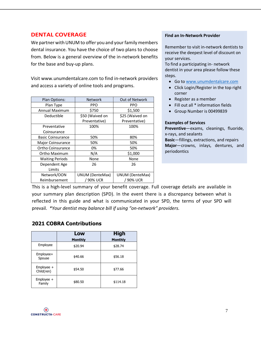## **DENTAL COVERAGE**

We partner with UNUM to offer you and your family members dental insurance. You have the choice of two plans to choose from. Below is a general overview of the in-network benefits for the base and buy-up plans.

Visit www.unumdentalcare.com to find in-network providers and access a variety of online tools and programs.

| Plan Options:            | <b>Network</b>         | Out of Network         |
|--------------------------|------------------------|------------------------|
| Plan Type                | <b>PPO</b>             | PPO                    |
| <b>Annual Maximum</b>    | \$750                  | \$1,500                |
| Deductible               | \$50 (Waived on        | \$25 (Waived on        |
|                          | Preventative)          | Preventative)          |
| Preventative             | 100%                   | 100%                   |
| Coinsurance              |                        |                        |
| <b>Basic Coinsurance</b> | 50%                    | 80%                    |
| Major Coinsurance        | 50%                    | 50%                    |
| Ortho Coinsurance        | 0%                     | 50%                    |
| Ortho Maximum            | N/A                    | \$1,000                |
| <b>Waiting Periods</b>   | None                   | None                   |
| Dependent Age            | 26                     | 26                     |
| Limits                   |                        |                        |
| Network/OON              | <b>UNUM (DenteMax)</b> | <b>UNUM (DenteMax)</b> |
| Reimbursement            | / 90% UCR              | / 90% UCR              |

#### **Find an In-Network Provider**

Remember to visit in-network dentists to receive the deepest level of discount on your services.

To find a participating in- network dentist in your area please follow these steps.

- Go to www.unumdentalcare.com
- Click Login/Register in the top right corner
- Register as a member
- Fill out all \* information fields
- Group Number is 00499839

#### **Examples of Services**

**Preventive**—exams, cleanings, fluoride, x-rays, and sealants

**Basic**—fillings, extractions, and repairs **Major**—crowns, inlays, dentures, and periodontics

This is a high-level summary of your benefit coverage. Full coverage details are available in your summary plan description (SPD). In the event there is a discrepancy between what is reflected in this guide and what is communicated in your SPD, the terms of your SPD will prevail. *\*Your dentist may balance bill if using "on-network" providers.*

## **2021 COBRA Contributions**

|                          | Low<br><b>Monthly</b> | <b>High</b><br><b>Monthly</b> |
|--------------------------|-----------------------|-------------------------------|
| Employee                 | \$20.94               | \$28.74                       |
| Employee+<br>Spouse      | \$40.66               | \$56.18                       |
| Employee +<br>Child(ren) | \$54.50               | \$77.66                       |
| Employee +<br>Family     | \$80.50               | \$114.18                      |

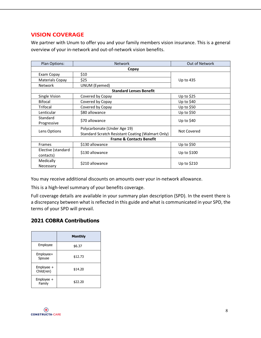## **VISION COVERAGE**

We partner with Unum to offer you and your family members vision insurance. This is a general overview of your in-network and out-of-network vision benefits.

| Plan Options:                       | <b>Network</b>                                    | Out of Network |  |  |
|-------------------------------------|---------------------------------------------------|----------------|--|--|
|                                     | Copay                                             |                |  |  |
| Exam Copay                          | \$10                                              |                |  |  |
| <b>Materials Copay</b>              | \$25                                              | Up to 435      |  |  |
| <b>Network</b>                      | <b>UNUM (Eyemed)</b>                              |                |  |  |
|                                     | <b>Standard Lenses Benefit</b>                    |                |  |  |
| Single Vision                       | Covered by Copay                                  | Up to $$25$    |  |  |
| <b>Bifocal</b>                      | Covered by Copay                                  | Up to \$40     |  |  |
| Trifocal                            | Covered by Copay                                  | Up to \$50     |  |  |
| Lenticular                          | \$80 allowance                                    | Up to \$50     |  |  |
| Standard                            | \$70 allowance                                    | Up to $$40$    |  |  |
| Progressive                         |                                                   |                |  |  |
| Lens Options                        | Polycarbonate (Under Age 19)                      | Not Covered    |  |  |
|                                     | Standard Scratch Resistant Coating (Walmart Only) |                |  |  |
| <b>Frame &amp; Contacts Benefit</b> |                                                   |                |  |  |
| <b>Frames</b>                       | \$130 allowance                                   | Up to \$50     |  |  |
| Elective (standard                  |                                                   |                |  |  |
| contacts)                           | \$130 allowance                                   | Up to \$100    |  |  |
| Medically                           | \$210 allowance                                   |                |  |  |
| Necessary                           |                                                   | Up to $$210$   |  |  |

You may receive additional discounts on amounts over your in-network allowance.

This is a high-level summary of your benefits coverage.

Full coverage details are available in your summary plan description (SPD). In the event there is a discrepancy between what is reflected in this guide and what is communicated in your SPD, the terms of your SPD will prevail.

## **2021 COBRA Contributions**

|                          | <b>Monthly</b> |
|--------------------------|----------------|
| Employee                 | \$6.37         |
| Employee+<br>Spouse      | \$12.73        |
| Employee +<br>Child(ren) | \$14.20        |
| $Employee +$<br>Family   | \$22.20        |

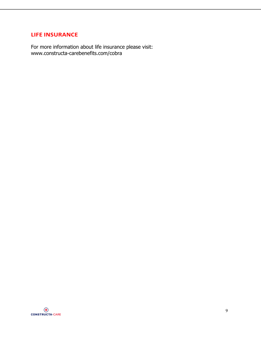## **LIFE INSURANCE**

For more information about life insurance please visit: [www.constructa-carebenefits.com/cobra](https://www.constructa-carebenefits.com/cobra)

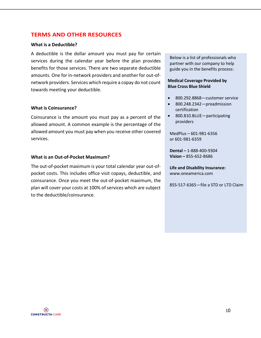## **TERMS AND OTHER RESOURCES**

#### **What is a Deductible?**

A deductible is the dollar amount you must pay for certain services during the calendar year before the plan provides benefits for those services. There are two separate deductible amounts. One for in-network providers and another for out-ofnetwork providers. Services which require a copay do not count towards meeting your deductible.

#### **What is Coinsurance?**

Coinsurance is the amount you must pay as a percent of the allowed amount. A common example is the percentage of the allowed amount you must pay when you receive other covered services.

#### **What is an Out-of-Pocket Maximum?**

The out-of-pocket maximum is your total calendar year out-ofpocket costs. This includes office visit copays, deductible, and coinsurance. Once you meet the out-of-pocket maximum, the plan will cover your costs at 100% of services which are subject to the deductible/coinsurance.

Below is a list of professionals who partner with our company to help guide you in the benefits process:

#### **Medical Coverage Provided by Blue Cross Blue Shield**

- 800.292.8868—customer service
- 800.248.2342—preadmission certification
- 800.810.BLUE—participating providers

MedPlus – 601-981-6356 or 601-981-6359

**Dental –** 1-888-400-9304 **Vision –** 855-652-8686

**Life and Disability Insurance:** www.oneamerica.com

855-517-6365—file a STD or LTD Claim